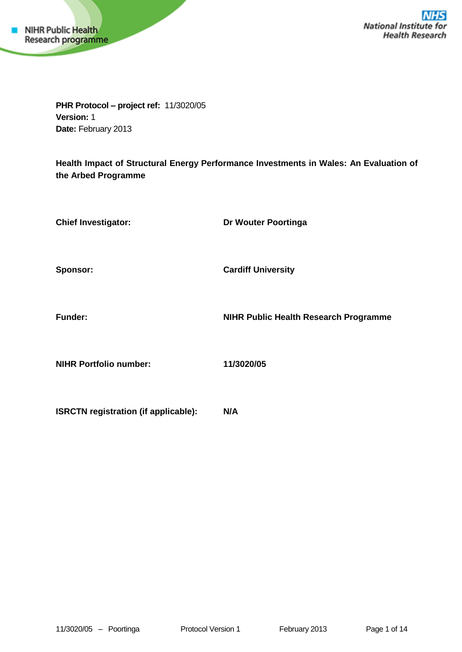

**PHR Protocol – project ref:** 11/3020/05 **Version:** 1 **Date:** February 2013

**Health Impact of Structural Energy Performance Investments in Wales: An Evaluation of the Arbed Programme**

| <b>Chief Investigator:</b>                  | Dr Wouter Poortinga                          |
|---------------------------------------------|----------------------------------------------|
| Sponsor:                                    | <b>Cardiff University</b>                    |
| <b>Funder:</b>                              | <b>NIHR Public Health Research Programme</b> |
| <b>NIHR Portfolio number:</b>               | 11/3020/05                                   |
| <b>ISRCTN registration (if applicable):</b> | N/A                                          |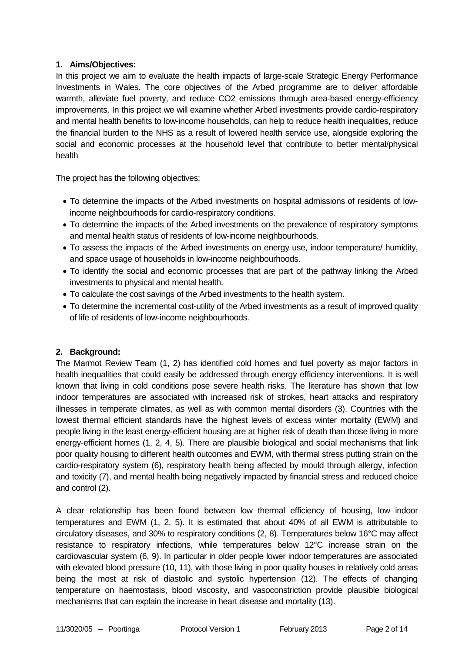## **1. Aims/Objectives:**

In this project we aim to evaluate the health impacts of large-scale Strategic Energy Performance Investments in Wales. The core objectives of the Arbed programme are to deliver affordable warmth, alleviate fuel poverty, and reduce CO2 emissions through area-based energy-efficiency improvements. In this project we will examine whether Arbed investments provide cardio-respiratory and mental health benefits to low-income households, can help to reduce health inequalities, reduce the financial burden to the NHS as a result of lowered health service use, alongside exploring the social and economic processes at the household level that contribute to better mental/physical health

The project has the following objectives:

- To determine the impacts of the Arbed investments on hospital admissions of residents of lowincome neighbourhoods for cardio-respiratory conditions.
- To determine the impacts of the Arbed investments on the prevalence of respiratory symptoms and mental health status of residents of low-income neighbourhoods.
- To assess the impacts of the Arbed investments on energy use, indoor temperature/ humidity, and space usage of households in low-income neighbourhoods.
- To identify the social and economic processes that are part of the pathway linking the Arbed investments to physical and mental health.
- To calculate the cost savings of the Arbed investments to the health system.
- To determine the incremental cost-utility of the Arbed investments as a result of improved quality of life of residents of low-income neighbourhoods.

# **2. Background:**

The Marmot Review Team (1, 2) has identified cold homes and fuel poverty as major factors in health inequalities that could easily be addressed through energy efficiency interventions. It is well known that living in cold conditions pose severe health risks. The literature has shown that low indoor temperatures are associated with increased risk of strokes, heart attacks and respiratory illnesses in temperate climates, as well as with common mental disorders (3). Countries with the lowest thermal efficient standards have the highest levels of excess winter mortality (EWM) and people living in the least energy-efficient housing are at higher risk of death than those living in more energy-efficient homes (1, 2, 4, 5). There are plausible biological and social mechanisms that link poor quality housing to different health outcomes and EWM, with thermal stress putting strain on the cardio-respiratory system (6), respiratory health being affected by mould through allergy, infection and toxicity (7), and mental health being negatively impacted by financial stress and reduced choice and control (2).

A clear relationship has been found between low thermal efficiency of housing, low indoor temperatures and EWM (1, 2, 5). It is estimated that about 40% of all EWM is attributable to circulatory diseases, and 30% to respiratory conditions (2, 8). Temperatures below 16°C may affect resistance to respiratory infections, while temperatures below 12°C increase strain on the cardiovascular system (6, 9). In particular in older people lower indoor temperatures are associated with elevated blood pressure (10, 11), with those living in poor quality houses in relatively cold areas being the most at risk of diastolic and systolic hypertension (12). The effects of changing temperature on haemostasis, blood viscosity, and vasoconstriction provide plausible biological mechanisms that can explain the increase in heart disease and mortality (13).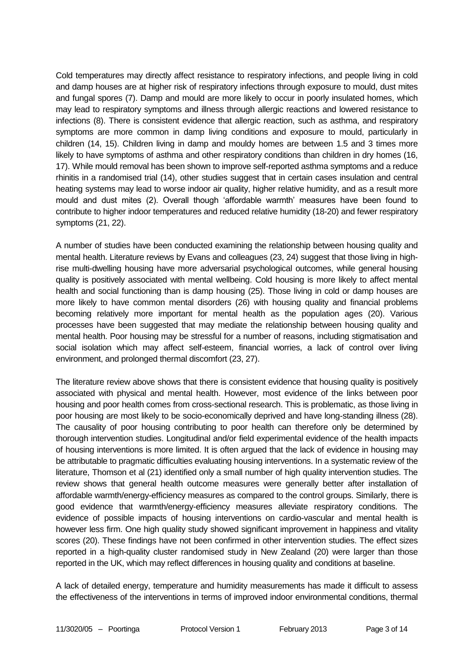Cold temperatures may directly affect resistance to respiratory infections, and people living in cold and damp houses are at higher risk of respiratory infections through exposure to mould, dust mites and fungal spores (7). Damp and mould are more likely to occur in poorly insulated homes, which may lead to respiratory symptoms and illness through allergic reactions and lowered resistance to infections (8). There is consistent evidence that allergic reaction, such as asthma, and respiratory symptoms are more common in damp living conditions and exposure to mould, particularly in children (14, 15). Children living in damp and mouldy homes are between 1.5 and 3 times more likely to have symptoms of asthma and other respiratory conditions than children in dry homes (16, 17). While mould removal has been shown to improve self-reported asthma symptoms and a reduce rhinitis in a randomised trial (14), other studies suggest that in certain cases insulation and central heating systems may lead to worse indoor air quality, higher relative humidity, and as a result more mould and dust mites (2). Overall though 'affordable warmth' measures have been found to contribute to higher indoor temperatures and reduced relative humidity (18-20) and fewer respiratory symptoms (21, 22).

A number of studies have been conducted examining the relationship between housing quality and mental health. Literature reviews by Evans and colleagues (23, 24) suggest that those living in highrise multi-dwelling housing have more adversarial psychological outcomes, while general housing quality is positively associated with mental wellbeing. Cold housing is more likely to affect mental health and social functioning than is damp housing (25). Those living in cold or damp houses are more likely to have common mental disorders (26) with housing quality and financial problems becoming relatively more important for mental health as the population ages (20). Various processes have been suggested that may mediate the relationship between housing quality and mental health. Poor housing may be stressful for a number of reasons, including stigmatisation and social isolation which may affect self-esteem, financial worries, a lack of control over living environment, and prolonged thermal discomfort (23, 27).

The literature review above shows that there is consistent evidence that housing quality is positively associated with physical and mental health. However, most evidence of the links between poor housing and poor health comes from cross-sectional research. This is problematic, as those living in poor housing are most likely to be socio-economically deprived and have long-standing illness (28). The causality of poor housing contributing to poor health can therefore only be determined by thorough intervention studies. Longitudinal and/or field experimental evidence of the health impacts of housing interventions is more limited. It is often argued that the lack of evidence in housing may be attributable to pragmatic difficulties evaluating housing interventions. In a systematic review of the literature, Thomson et al (21) identified only a small number of high quality intervention studies. The review shows that general health outcome measures were generally better after installation of affordable warmth/energy-efficiency measures as compared to the control groups. Similarly, there is good evidence that warmth/energy-efficiency measures alleviate respiratory conditions. The evidence of possible impacts of housing interventions on cardio-vascular and mental health is however less firm. One high quality study showed significant improvement in happiness and vitality scores (20). These findings have not been confirmed in other intervention studies. The effect sizes reported in a high-quality cluster randomised study in New Zealand (20) were larger than those reported in the UK, which may reflect differences in housing quality and conditions at baseline.

A lack of detailed energy, temperature and humidity measurements has made it difficult to assess the effectiveness of the interventions in terms of improved indoor environmental conditions, thermal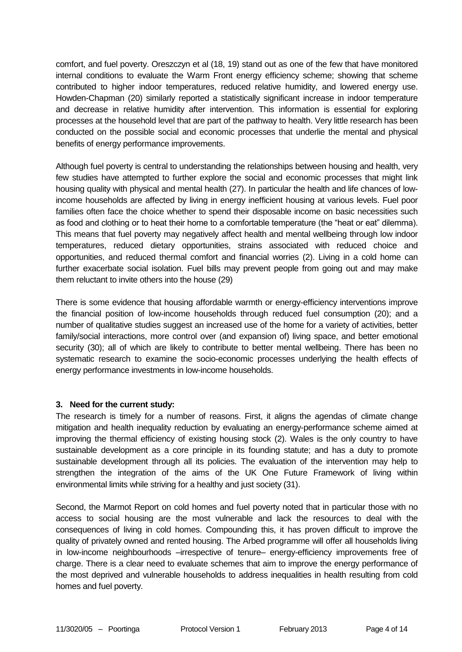comfort, and fuel poverty. Oreszczyn et al (18, 19) stand out as one of the few that have monitored internal conditions to evaluate the Warm Front energy efficiency scheme; showing that scheme contributed to higher indoor temperatures, reduced relative humidity, and lowered energy use. Howden-Chapman (20) similarly reported a statistically significant increase in indoor temperature and decrease in relative humidity after intervention. This information is essential for exploring processes at the household level that are part of the pathway to health. Very little research has been conducted on the possible social and economic processes that underlie the mental and physical benefits of energy performance improvements.

Although fuel poverty is central to understanding the relationships between housing and health, very few studies have attempted to further explore the social and economic processes that might link housing quality with physical and mental health (27). In particular the health and life chances of lowincome households are affected by living in energy inefficient housing at various levels. Fuel poor families often face the choice whether to spend their disposable income on basic necessities such as food and clothing or to heat their home to a comfortable temperature (the "heat or eat" dilemma). This means that fuel poverty may negatively affect health and mental wellbeing through low indoor temperatures, reduced dietary opportunities, strains associated with reduced choice and opportunities, and reduced thermal comfort and financial worries (2). Living in a cold home can further exacerbate social isolation. Fuel bills may prevent people from going out and may make them reluctant to invite others into the house (29)

There is some evidence that housing affordable warmth or energy-efficiency interventions improve the financial position of low-income households through reduced fuel consumption (20); and a number of qualitative studies suggest an increased use of the home for a variety of activities, better family/social interactions, more control over (and expansion of) living space, and better emotional security (30); all of which are likely to contribute to better mental wellbeing. There has been no systematic research to examine the socio-economic processes underlying the health effects of energy performance investments in low-income households.

### **3. Need for the current study:**

The research is timely for a number of reasons. First, it aligns the agendas of climate change mitigation and health inequality reduction by evaluating an energy-performance scheme aimed at improving the thermal efficiency of existing housing stock (2). Wales is the only country to have sustainable development as a core principle in its founding statute; and has a duty to promote sustainable development through all its policies. The evaluation of the intervention may help to strengthen the integration of the aims of the UK One Future Framework of living within environmental limits while striving for a healthy and just society (31).

Second, the Marmot Report on cold homes and fuel poverty noted that in particular those with no access to social housing are the most vulnerable and lack the resources to deal with the consequences of living in cold homes. Compounding this, it has proven difficult to improve the quality of privately owned and rented housing. The Arbed programme will offer all households living in low-income neighbourhoods –irrespective of tenure– energy-efficiency improvements free of charge. There is a clear need to evaluate schemes that aim to improve the energy performance of the most deprived and vulnerable households to address inequalities in health resulting from cold homes and fuel poverty.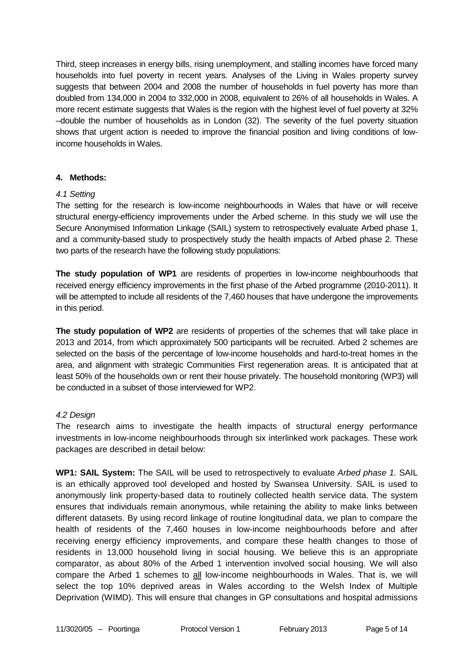Third, steep increases in energy bills, rising unemployment, and stalling incomes have forced many households into fuel poverty in recent years. Analyses of the Living in Wales property survey suggests that between 2004 and 2008 the number of households in fuel poverty has more than doubled from 134,000 in 2004 to 332,000 in 2008, equivalent to 26% of all households in Wales. A more recent estimate suggests that Wales is the region with the highest level of fuel poverty at 32% –double the number of households as in London (32). The severity of the fuel poverty situation shows that urgent action is needed to improve the financial position and living conditions of lowincome households in Wales.

### **4. Methods:**

### *4.1 Setting*

The setting for the research is low-income neighbourhoods in Wales that have or will receive structural energy-efficiency improvements under the Arbed scheme. In this study we will use the Secure Anonymised Information Linkage (SAIL) system to retrospectively evaluate Arbed phase 1, and a community-based study to prospectively study the health impacts of Arbed phase 2. These two parts of the research have the following study populations:

**The study population of WP1** are residents of properties in low-income neighbourhoods that received energy efficiency improvements in the first phase of the Arbed programme (2010-2011). It will be attempted to include all residents of the 7,460 houses that have undergone the improvements in this period.

**The study population of WP2** are residents of properties of the schemes that will take place in 2013 and 2014, from which approximately 500 participants will be recruited. Arbed 2 schemes are selected on the basis of the percentage of low-income households and hard-to-treat homes in the area, and alignment with strategic Communities First regeneration areas. It is anticipated that at least 50% of the households own or rent their house privately. The household monitoring (WP3) will be conducted in a subset of those interviewed for WP2.

### *4.2 Design*

The research aims to investigate the health impacts of structural energy performance investments in low-income neighbourhoods through six interlinked work packages. These work packages are described in detail below:

**WP1: SAIL System:** The SAIL will be used to retrospectively to evaluate *Arbed phase 1.* SAIL is an ethically approved tool developed and hosted by Swansea University. SAIL is used to anonymously link property-based data to routinely collected health service data. The system ensures that individuals remain anonymous, while retaining the ability to make links between different datasets. By using record linkage of routine longitudinal data, we plan to compare the health of residents of the 7,460 houses in low-income neighbourhoods before and after receiving energy efficiency improvements, and compare these health changes to those of residents in 13,000 household living in social housing. We believe this is an appropriate comparator, as about 80% of the Arbed 1 intervention involved social housing. We will also compare the Arbed 1 schemes to all low-income neighbourhoods in Wales. That is, we will select the top 10% deprived areas in Wales according to the Welsh Index of Multiple Deprivation (WIMD). This will ensure that changes in GP consultations and hospital admissions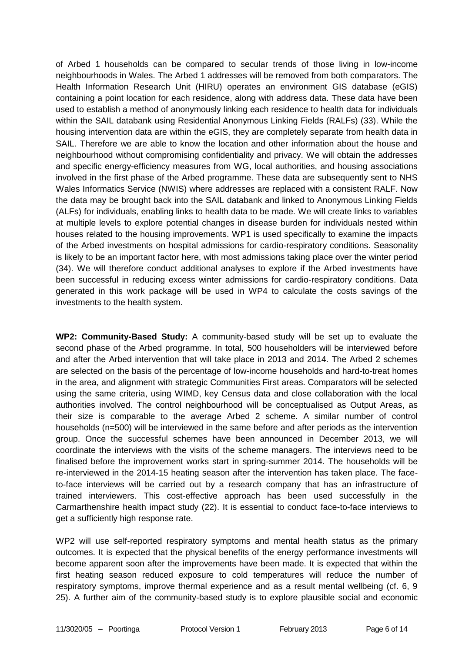of Arbed 1 households can be compared to secular trends of those living in low-income neighbourhoods in Wales. The Arbed 1 addresses will be removed from both comparators. The Health Information Research Unit (HIRU) operates an environment GIS database (eGIS) containing a point location for each residence, along with address data. These data have been used to establish a method of anonymously linking each residence to health data for individuals within the SAIL databank using Residential Anonymous Linking Fields (RALFs) (33). While the housing intervention data are within the eGIS, they are completely separate from health data in SAIL. Therefore we are able to know the location and other information about the house and neighbourhood without compromising confidentiality and privacy. We will obtain the addresses and specific energy-efficiency measures from WG, local authorities, and housing associations involved in the first phase of the Arbed programme. These data are subsequently sent to NHS Wales Informatics Service (NWIS) where addresses are replaced with a consistent RALF. Now the data may be brought back into the SAIL databank and linked to Anonymous Linking Fields (ALFs) for individuals, enabling links to health data to be made. We will create links to variables at multiple levels to explore potential changes in disease burden for individuals nested within houses related to the housing improvements. WP1 is used specifically to examine the impacts of the Arbed investments on hospital admissions for cardio-respiratory conditions. Seasonality is likely to be an important factor here, with most admissions taking place over the winter period (34). We will therefore conduct additional analyses to explore if the Arbed investments have been successful in reducing excess winter admissions for cardio-respiratory conditions. Data generated in this work package will be used in WP4 to calculate the costs savings of the investments to the health system.

**WP2: Community-Based Study:** A community-based study will be set up to evaluate the second phase of the Arbed programme. In total, 500 householders will be interviewed before and after the Arbed intervention that will take place in 2013 and 2014. The Arbed 2 schemes are selected on the basis of the percentage of low-income households and hard-to-treat homes in the area, and alignment with strategic Communities First areas. Comparators will be selected using the same criteria, using WIMD, key Census data and close collaboration with the local authorities involved. The control neighbourhood will be conceptualised as Output Areas, as their size is comparable to the average Arbed 2 scheme. A similar number of control households (n=500) will be interviewed in the same before and after periods as the intervention group. Once the successful schemes have been announced in December 2013, we will coordinate the interviews with the visits of the scheme managers. The interviews need to be finalised before the improvement works start in spring-summer 2014. The households will be re-interviewed in the 2014-15 heating season after the intervention has taken place. The faceto-face interviews will be carried out by a research company that has an infrastructure of trained interviewers. This cost-effective approach has been used successfully in the Carmarthenshire health impact study (22). It is essential to conduct face-to-face interviews to get a sufficiently high response rate.

WP2 will use self-reported respiratory symptoms and mental health status as the primary outcomes. It is expected that the physical benefits of the energy performance investments will become apparent soon after the improvements have been made. It is expected that within the first heating season reduced exposure to cold temperatures will reduce the number of respiratory symptoms, improve thermal experience and as a result mental wellbeing (cf. 6, 9 25). A further aim of the community-based study is to explore plausible social and economic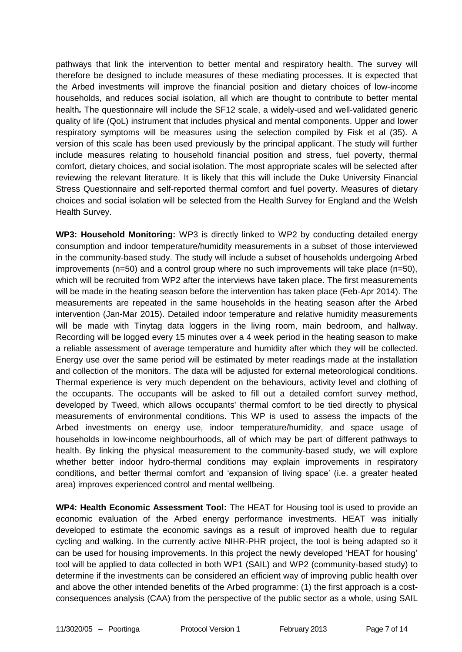pathways that link the intervention to better mental and respiratory health. The survey will therefore be designed to include measures of these mediating processes. It is expected that the Arbed investments will improve the financial position and dietary choices of low-income households, and reduces social isolation, all which are thought to contribute to better mental health*.* The questionnaire will include the SF12 scale, a widely-used and well-validated generic quality of life (QoL) instrument that includes physical and mental components. Upper and lower respiratory symptoms will be measures using the selection compiled by Fisk et al (35). A version of this scale has been used previously by the principal applicant. The study will further include measures relating to household financial position and stress, fuel poverty, thermal comfort, dietary choices, and social isolation. The most appropriate scales will be selected after reviewing the relevant literature. It is likely that this will include the Duke University Financial Stress Questionnaire and self-reported thermal comfort and fuel poverty. Measures of dietary choices and social isolation will be selected from the Health Survey for England and the Welsh Health Survey.

**WP3: Household Monitoring:** WP3 is directly linked to WP2 by conducting detailed energy consumption and indoor temperature/humidity measurements in a subset of those interviewed in the community-based study. The study will include a subset of households undergoing Arbed improvements (n=50) and a control group where no such improvements will take place (n=50), which will be recruited from WP2 after the interviews have taken place. The first measurements will be made in the heating season before the intervention has taken place (Feb-Apr 2014). The measurements are repeated in the same households in the heating season after the Arbed intervention (Jan-Mar 2015). Detailed indoor temperature and relative humidity measurements will be made with Tinytag data loggers in the living room, main bedroom, and hallway. Recording will be logged every 15 minutes over a 4 week period in the heating season to make a reliable assessment of average temperature and humidity after which they will be collected. Energy use over the same period will be estimated by meter readings made at the installation and collection of the monitors. The data will be adjusted for external meteorological conditions. Thermal experience is very much dependent on the behaviours, activity level and clothing of the occupants. The occupants will be asked to fill out a detailed comfort survey method, developed by Tweed, which allows occupants' thermal comfort to be tied directly to physical measurements of environmental conditions. This WP is used to assess the impacts of the Arbed investments on energy use, indoor temperature/humidity, and space usage of households in low-income neighbourhoods, all of which may be part of different pathways to health. By linking the physical measurement to the community-based study, we will explore whether better indoor hydro-thermal conditions may explain improvements in respiratory conditions, and better thermal comfort and 'expansion of living space' (i.e. a greater heated area) improves experienced control and mental wellbeing.

**WP4: Health Economic Assessment Tool:** The HEAT for Housing tool is used to provide an economic evaluation of the Arbed energy performance investments. HEAT was initially developed to estimate the economic savings as a result of improved health due to regular cycling and walking. In the currently active NIHR-PHR project, the tool is being adapted so it can be used for housing improvements. In this project the newly developed 'HEAT for housing' tool will be applied to data collected in both WP1 (SAIL) and WP2 (community-based study) to determine if the investments can be considered an efficient way of improving public health over and above the other intended benefits of the Arbed programme: (1) the first approach is a costconsequences analysis (CAA) from the perspective of the public sector as a whole, using SAIL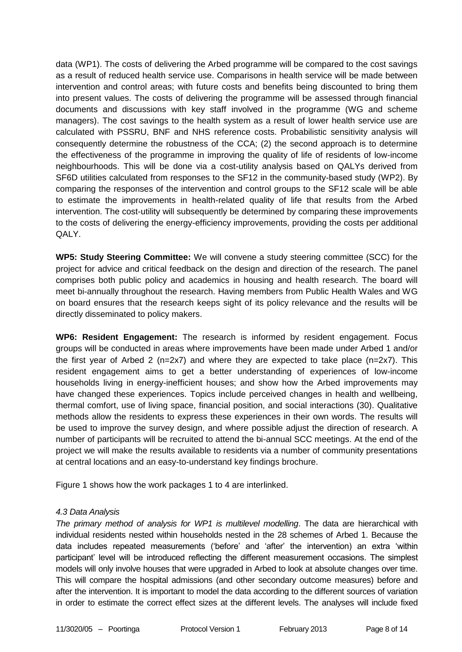data (WP1). The costs of delivering the Arbed programme will be compared to the cost savings as a result of reduced health service use. Comparisons in health service will be made between intervention and control areas; with future costs and benefits being discounted to bring them into present values. The costs of delivering the programme will be assessed through financial documents and discussions with key staff involved in the programme (WG and scheme managers). The cost savings to the health system as a result of lower health service use are calculated with PSSRU, BNF and NHS reference costs. Probabilistic sensitivity analysis will consequently determine the robustness of the CCA; (2) the second approach is to determine the effectiveness of the programme in improving the quality of life of residents of low-income neighbourhoods. This will be done via a cost-utility analysis based on QALYs derived from SF6D utilities calculated from responses to the SF12 in the community-based study (WP2). By comparing the responses of the intervention and control groups to the SF12 scale will be able to estimate the improvements in health-related quality of life that results from the Arbed intervention. The cost-utility will subsequently be determined by comparing these improvements to the costs of delivering the energy-efficiency improvements, providing the costs per additional QALY.

**WP5: Study Steering Committee:** We will convene a study steering committee (SCC) for the project for advice and critical feedback on the design and direction of the research. The panel comprises both public policy and academics in housing and health research. The board will meet bi-annually throughout the research. Having members from Public Health Wales and WG on board ensures that the research keeps sight of its policy relevance and the results will be directly disseminated to policy makers.

**WP6: Resident Engagement:** The research is informed by resident engagement. Focus groups will be conducted in areas where improvements have been made under Arbed 1 and/or the first year of Arbed 2 (n=2x7) and where they are expected to take place (n=2x7). This resident engagement aims to get a better understanding of experiences of low-income households living in energy-inefficient houses; and show how the Arbed improvements may have changed these experiences. Topics include perceived changes in health and wellbeing, thermal comfort, use of living space, financial position, and social interactions (30). Qualitative methods allow the residents to express these experiences in their own words. The results will be used to improve the survey design, and where possible adjust the direction of research. A number of participants will be recruited to attend the bi-annual SCC meetings. At the end of the project we will make the results available to residents via a number of community presentations at central locations and an easy-to-understand key findings brochure.

Figure 1 shows how the work packages 1 to 4 are interlinked.

### *4.3 Data Analysis*

*The primary method of analysis for WP1 is multilevel modelling*. The data are hierarchical with individual residents nested within households nested in the 28 schemes of Arbed 1. Because the data includes repeated measurements ('before' and 'after' the intervention) an extra 'within participant' level will be introduced reflecting the different measurement occasions. The simplest models will only involve houses that were upgraded in Arbed to look at absolute changes over time. This will compare the hospital admissions (and other secondary outcome measures) before and after the intervention. It is important to model the data according to the different sources of variation in order to estimate the correct effect sizes at the different levels. The analyses will include fixed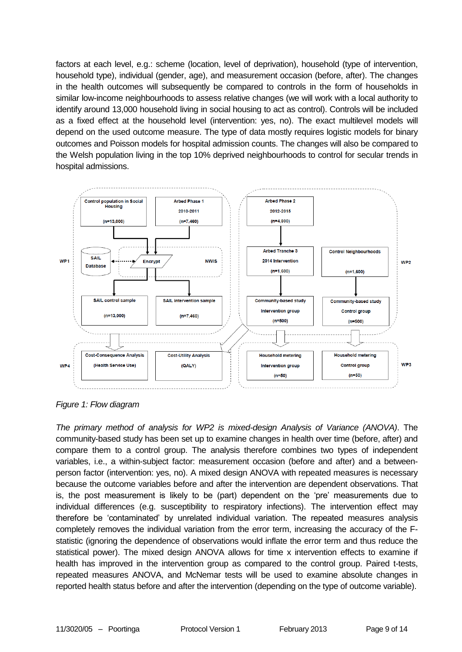factors at each level, e.g.: scheme (location, level of deprivation), household (type of intervention, household type), individual (gender, age), and measurement occasion (before, after). The changes in the health outcomes will subsequently be compared to controls in the form of households in similar low-income neighbourhoods to assess relative changes (we will work with a local authority to identify around 13,000 household living in social housing to act as control). Controls will be included as a fixed effect at the household level (intervention: yes, no). The exact multilevel models will depend on the used outcome measure. The type of data mostly requires logistic models for binary outcomes and Poisson models for hospital admission counts. The changes will also be compared to the Welsh population living in the top 10% deprived neighbourhoods to control for secular trends in hospital admissions.



*Figure 1: Flow diagram*

*The primary method of analysis for WP2 is mixed-design Analysis of Variance (ANOVA)*. The community-based study has been set up to examine changes in health over time (before, after) and compare them to a control group. The analysis therefore combines two types of independent variables, i.e., a within-subject factor: measurement occasion (before and after) and a betweenperson factor (intervention: yes, no). A mixed design ANOVA with repeated measures is necessary because the outcome variables before and after the intervention are dependent observations. That is, the post measurement is likely to be (part) dependent on the 'pre' measurements due to individual differences (e.g. susceptibility to respiratory infections). The intervention effect may therefore be 'contaminated' by unrelated individual variation. The repeated measures analysis completely removes the individual variation from the error term, increasing the accuracy of the Fstatistic (ignoring the dependence of observations would inflate the error term and thus reduce the statistical power). The mixed design ANOVA allows for time x intervention effects to examine if health has improved in the intervention group as compared to the control group. Paired t-tests, repeated measures ANOVA, and McNemar tests will be used to examine absolute changes in reported health status before and after the intervention (depending on the type of outcome variable).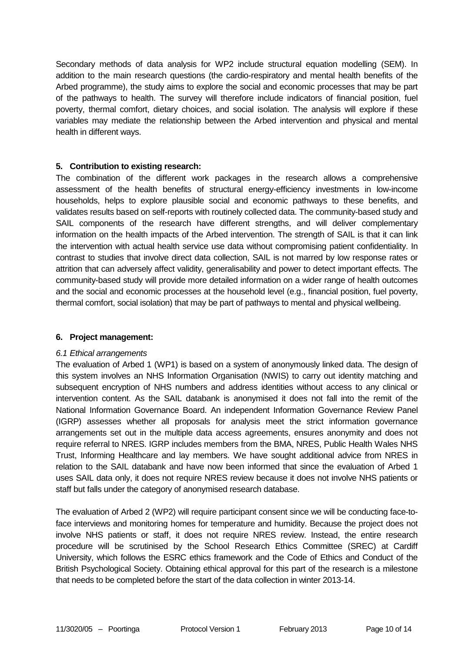Secondary methods of data analysis for WP2 include structural equation modelling (SEM). In addition to the main research questions (the cardio-respiratory and mental health benefits of the Arbed programme), the study aims to explore the social and economic processes that may be part of the pathways to health. The survey will therefore include indicators of financial position, fuel poverty, thermal comfort, dietary choices, and social isolation. The analysis will explore if these variables may mediate the relationship between the Arbed intervention and physical and mental health in different ways.

### **5. Contribution to existing research:**

The combination of the different work packages in the research allows a comprehensive assessment of the health benefits of structural energy-efficiency investments in low-income households, helps to explore plausible social and economic pathways to these benefits, and validates results based on self-reports with routinely collected data. The community-based study and SAIL components of the research have different strengths, and will deliver complementary information on the health impacts of the Arbed intervention. The strength of SAIL is that it can link the intervention with actual health service use data without compromising patient confidentiality. In contrast to studies that involve direct data collection, SAIL is not marred by low response rates or attrition that can adversely affect validity, generalisability and power to detect important effects. The community-based study will provide more detailed information on a wider range of health outcomes and the social and economic processes at the household level (e.g., financial position, fuel poverty, thermal comfort, social isolation) that may be part of pathways to mental and physical wellbeing.

### **6. Project management:**

### *6.1 Ethical arrangements*

The evaluation of Arbed 1 (WP1) is based on a system of anonymously linked data. The design of this system involves an NHS Information Organisation (NWIS) to carry out identity matching and subsequent encryption of NHS numbers and address identities without access to any clinical or intervention content. As the SAIL databank is anonymised it does not fall into the remit of the National Information Governance Board. An independent Information Governance Review Panel (IGRP) assesses whether all proposals for analysis meet the strict information governance arrangements set out in the multiple data access agreements, ensures anonymity and does not require referral to NRES. IGRP includes members from the BMA, NRES, Public Health Wales NHS Trust, Informing Healthcare and lay members. We have sought additional advice from NRES in relation to the SAIL databank and have now been informed that since the evaluation of Arbed 1 uses SAIL data only, it does not require NRES review because it does not involve NHS patients or staff but falls under the category of anonymised research database.

The evaluation of Arbed 2 (WP2) will require participant consent since we will be conducting face-toface interviews and monitoring homes for temperature and humidity. Because the project does not involve NHS patients or staff, it does not require NRES review. Instead, the entire research procedure will be scrutinised by the School Research Ethics Committee (SREC) at Cardiff University, which follows the ESRC ethics framework and the Code of Ethics and Conduct of the British Psychological Society. Obtaining ethical approval for this part of the research is a milestone that needs to be completed before the start of the data collection in winter 2013-14.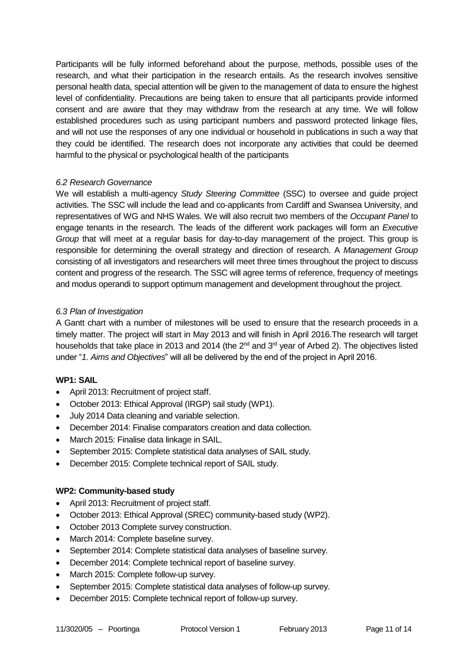Participants will be fully informed beforehand about the purpose, methods, possible uses of the research, and what their participation in the research entails. As the research involves sensitive personal health data, special attention will be given to the management of data to ensure the highest level of confidentiality. Precautions are being taken to ensure that all participants provide informed consent and are aware that they may withdraw from the research at any time. We will follow established procedures such as using participant numbers and password protected linkage files, and will not use the responses of any one individual or household in publications in such a way that they could be identified. The research does not incorporate any activities that could be deemed harmful to the physical or psychological health of the participants

### *6.2 Research Governance*

We will establish a multi-agency *Study Steering Committee* (SSC) to oversee and guide project activities. The SSC will include the lead and co-applicants from Cardiff and Swansea University, and representatives of WG and NHS Wales. We will also recruit two members of the *Occupant Panel* to engage tenants in the research. The leads of the different work packages will form an *Executive Group* that will meet at a regular basis for day-to-day management of the project. This group is responsible for determining the overall strategy and direction of research. A *Management Group* consisting of all investigators and researchers will meet three times throughout the project to discuss content and progress of the research. The SSC will agree terms of reference, frequency of meetings and modus operandi to support optimum management and development throughout the project.

### *6.3 Plan of Investigation*

A Gantt chart with a number of milestones will be used to ensure that the research proceeds in a timely matter. The project will start in May 2013 and will finish in April 2016.The research will target households that take place in 2013 and 2014 (the  $2<sup>nd</sup>$  and  $3<sup>rd</sup>$  year of Arbed 2). The objectives listed under "*1. Aims and Objectives*" will all be delivered by the end of the project in April 2016.

### **WP1: SAIL**

- April 2013: Recruitment of project staff.
- October 2013: Ethical Approval (IRGP) sail study (WP1).
- July 2014 Data cleaning and variable selection.
- December 2014: Finalise comparators creation and data collection.
- March 2015: Finalise data linkage in SAIL.
- September 2015: Complete statistical data analyses of SAIL study.
- December 2015: Complete technical report of SAIL study.

# **WP2: Community-based study**

- April 2013: Recruitment of project staff.
- October 2013: Ethical Approval (SREC) community-based study (WP2).
- October 2013 Complete survey construction.
- March 2014: Complete baseline survey.
- September 2014: Complete statistical data analyses of baseline survey.
- December 2014: Complete technical report of baseline survey.
- March 2015: Complete follow-up survey.
- September 2015: Complete statistical data analyses of follow-up survey.
- December 2015: Complete technical report of follow-up survey.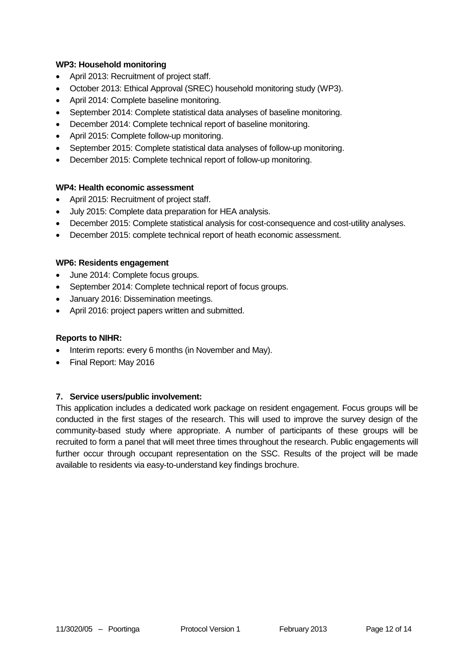### **WP3: Household monitoring**

- April 2013: Recruitment of project staff.
- October 2013: Ethical Approval (SREC) household monitoring study (WP3).
- April 2014: Complete baseline monitoring.
- September 2014: Complete statistical data analyses of baseline monitoring.
- December 2014: Complete technical report of baseline monitoring.
- April 2015: Complete follow-up monitoring.
- September 2015: Complete statistical data analyses of follow-up monitoring.
- December 2015: Complete technical report of follow-up monitoring.

### **WP4: Health economic assessment**

- April 2015: Recruitment of project staff.
- July 2015: Complete data preparation for HEA analysis.
- December 2015: Complete statistical analysis for cost-consequence and cost-utility analyses.
- December 2015: complete technical report of heath economic assessment.

#### **WP6: Residents engagement**

- June 2014: Complete focus groups.
- September 2014: Complete technical report of focus groups.
- January 2016: Dissemination meetings.
- April 2016: project papers written and submitted.

### **Reports to NIHR:**

- Interim reports: every 6 months (in November and May).
- Final Report: May 2016

### **7. Service users/public involvement:**

This application includes a dedicated work package on resident engagement. Focus groups will be conducted in the first stages of the research. This will used to improve the survey design of the community-based study where appropriate. A number of participants of these groups will be recruited to form a panel that will meet three times throughout the research. Public engagements will further occur through occupant representation on the SSC. Results of the project will be made available to residents via easy-to-understand key findings brochure.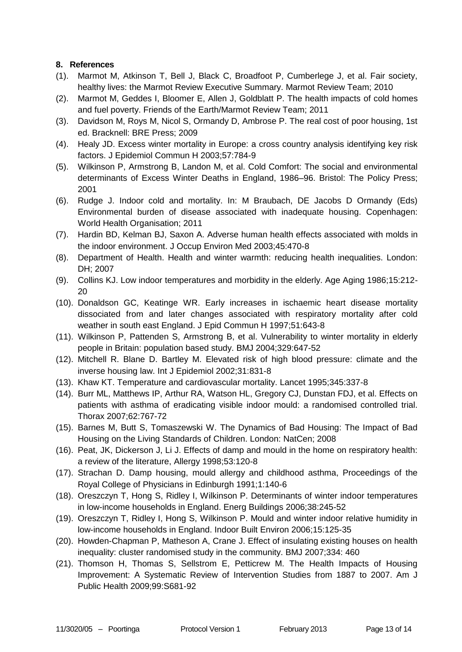## **8. References**

- (1). Marmot M, Atkinson T, Bell J, Black C, Broadfoot P, Cumberlege J, et al. Fair society, healthy lives: the Marmot Review Executive Summary. Marmot Review Team; 2010
- (2). Marmot M, Geddes I, Bloomer E, Allen J, Goldblatt P. The health impacts of cold homes and fuel poverty. Friends of the Earth/Marmot Review Team; 2011
- (3). Davidson M, Roys M, Nicol S, Ormandy D, Ambrose P. The real cost of poor housing, 1st ed. Bracknell: BRE Press; 2009
- (4). Healy JD. Excess winter mortality in Europe: a cross country analysis identifying key risk factors. J Epidemiol Commun H 2003;57:784-9
- (5). Wilkinson P, Armstrong B, Landon M, et al. Cold Comfort: The social and environmental determinants of Excess Winter Deaths in England, 1986–96. Bristol: The Policy Press; 2001
- (6). Rudge J. Indoor cold and mortality. In: M Braubach, DE Jacobs D Ormandy (Eds) Environmental burden of disease associated with inadequate housing. Copenhagen: World Health Organisation; 2011
- (7). Hardin BD, Kelman BJ, Saxon A. Adverse human health effects associated with molds in the indoor environment. J Occup Environ Med 2003;45:470-8
- (8). Department of Health. Health and winter warmth: reducing health inequalities. London: DH; 2007
- (9). Collins KJ. Low indoor temperatures and morbidity in the elderly. Age Aging 1986;15:212- 20
- (10). Donaldson GC, Keatinge WR. Early increases in ischaemic heart disease mortality dissociated from and later changes associated with respiratory mortality after cold weather in south east England. J Epid Commun H 1997;51:643-8
- (11). Wilkinson P, Pattenden S, Armstrong B, et al. Vulnerability to winter mortality in elderly people in Britain: population based study. BMJ 2004;329:647-52
- (12). Mitchell R. Blane D. Bartley M. Elevated risk of high blood pressure: climate and the inverse housing law. Int J Epidemiol 2002;31:831-8
- (13). Khaw KT. Temperature and cardiovascular mortality. Lancet 1995;345:337-8
- (14). Burr ML, Matthews IP, Arthur RA, Watson HL, Gregory CJ, Dunstan FDJ, et al. Effects on patients with asthma of eradicating visible indoor mould: a randomised controlled trial. Thorax 2007;62:767-72
- (15). Barnes M, Butt S, Tomaszewski W. The Dynamics of Bad Housing: The Impact of Bad Housing on the Living Standards of Children. London: NatCen; 2008
- (16). Peat, JK, Dickerson J, Li J. Effects of damp and mould in the home on respiratory health: a review of the literature, Allergy 1998;53:120-8
- (17). Strachan D. Damp housing, mould allergy and childhood asthma, Proceedings of the Royal College of Physicians in Edinburgh 1991;1:140-6
- (18). Oreszczyn T, Hong S, Ridley I, Wilkinson P. Determinants of winter indoor temperatures in low-income households in England. Energ Buildings 2006;38:245-52
- (19). Oreszczyn T, Ridley I, Hong S, Wilkinson P. Mould and winter indoor relative humidity in low-income households in England. Indoor Built Environ 2006;15:125-35
- (20). Howden-Chapman P, Matheson A, Crane J. Effect of insulating existing houses on health inequality: cluster randomised study in the community. BMJ 2007;334: 460
- (21). Thomson H, Thomas S, Sellstrom E, Petticrew M. The Health Impacts of Housing Improvement: A Systematic Review of Intervention Studies from 1887 to 2007. Am J Public Health 2009;99:S681-92